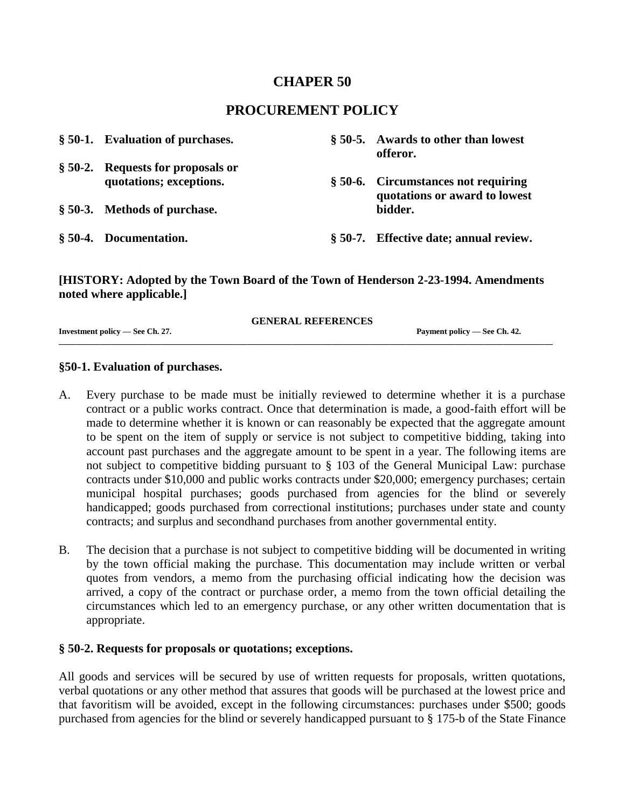# **CHAPER 50**

# **PROCUREMENT POLICY**

| § 50-1. Evaluation of purchases.                             | § 50-5. Awards to other than lowest<br>offeror.                      |
|--------------------------------------------------------------|----------------------------------------------------------------------|
| § 50-2. Requests for proposals or<br>quotations; exceptions. | § 50-6. Circumstances not requiring<br>quotations or award to lowest |
| § 50-3. Methods of purchase.                                 | bidder.                                                              |
| § 50-4. Documentation.                                       | § 50-7. Effective date; annual review.                               |

### **[HISTORY: Adopted by the Town Board of the Town of Henderson 2-23-1994. Amendments noted where applicable.]**

|                                 | <b>GENERAL REFERENCES</b> |                              |
|---------------------------------|---------------------------|------------------------------|
| Investment policy — See Ch. 27. |                           | Payment policy — See Ch. 42. |

**\_\_\_\_\_\_\_\_\_\_\_\_\_\_\_\_\_\_\_\_\_\_\_\_\_\_\_\_\_\_\_\_\_\_\_\_\_\_\_\_\_\_\_\_\_\_\_\_\_\_\_\_\_\_\_\_\_\_\_\_\_\_\_\_\_\_\_\_\_\_\_\_\_\_\_\_\_\_\_\_\_\_\_\_\_\_\_\_\_\_\_\_\_\_\_\_\_\_\_\_\_\_\_\_\_\_\_\_\_\_\_\_\_\_\_\_\_\_\_\_\_**

#### **§50-1. Evaluation of purchases.**

- A. Every purchase to be made must be initially reviewed to determine whether it is a purchase contract or a public works contract. Once that determination is made, a good-faith effort will be made to determine whether it is known or can reasonably be expected that the aggregate amount to be spent on the item of supply or service is not subject to competitive bidding, taking into account past purchases and the aggregate amount to be spent in a year. The following items are not subject to competitive bidding pursuant to § 103 of the General Municipal Law: purchase contracts under \$10,000 and public works contracts under \$20,000; emergency purchases; certain municipal hospital purchases; goods purchased from agencies for the blind or severely handicapped; goods purchased from correctional institutions; purchases under state and county contracts; and surplus and secondhand purchases from another governmental entity.
- B. The decision that a purchase is not subject to competitive bidding will be documented in writing by the town official making the purchase. This documentation may include written or verbal quotes from vendors, a memo from the purchasing official indicating how the decision was arrived, a copy of the contract or purchase order, a memo from the town official detailing the circumstances which led to an emergency purchase, or any other written documentation that is appropriate.

### **§ 50-2. Requests for proposals or quotations; exceptions.**

All goods and services will be secured by use of written requests for proposals, written quotations, verbal quotations or any other method that assures that goods will be purchased at the lowest price and that favoritism will be avoided, except in the following circumstances: purchases under \$500; goods purchased from agencies for the blind or severely handicapped pursuant to § 175-b of the State Finance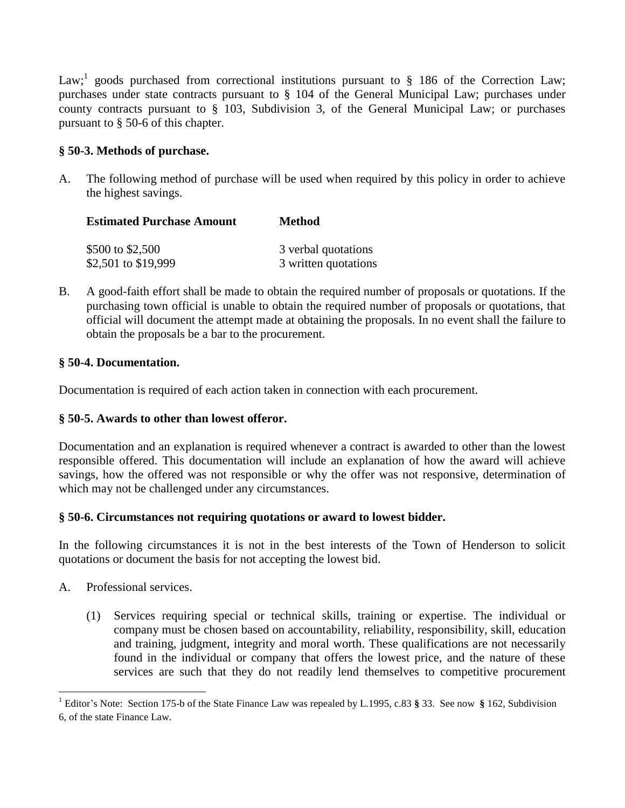Law;<sup>1</sup> goods purchased from correctional institutions pursuant to  $\S$  186 of the Correction Law; purchases under state contracts pursuant to § 104 of the General Municipal Law; purchases under county contracts pursuant to § 103, Subdivision 3, of the General Municipal Law; or purchases pursuant to § 50-6 of this chapter.

## **§ 50-3. Methods of purchase.**

A. The following method of purchase will be used when required by this policy in order to achieve the highest savings.

| <b>Estimated Purchase Amount</b> | <b>Method</b>        |
|----------------------------------|----------------------|
| \$500 to \$2,500                 | 3 verbal quotations  |
| \$2,501 to \$19,999              | 3 written quotations |

B. A good-faith effort shall be made to obtain the required number of proposals or quotations. If the purchasing town official is unable to obtain the required number of proposals or quotations, that official will document the attempt made at obtaining the proposals. In no event shall the failure to obtain the proposals be a bar to the procurement.

### **§ 50-4. Documentation.**

Documentation is required of each action taken in connection with each procurement.

# **§ 50-5. Awards to other than lowest offeror.**

Documentation and an explanation is required whenever a contract is awarded to other than the lowest responsible offered. This documentation will include an explanation of how the award will achieve savings, how the offered was not responsible or why the offer was not responsive, determination of which may not be challenged under any circumstances.

# **§ 50-6. Circumstances not requiring quotations or award to lowest bidder.**

In the following circumstances it is not in the best interests of the Town of Henderson to solicit quotations or document the basis for not accepting the lowest bid.

A. Professional services.

 $\ddot{\phantom{a}}$ 

(1) Services requiring special or technical skills, training or expertise. The individual or company must be chosen based on accountability, reliability, responsibility, skill, education and training, judgment, integrity and moral worth. These qualifications are not necessarily found in the individual or company that offers the lowest price, and the nature of these services are such that they do not readily lend themselves to competitive procurement

<sup>1</sup> Editor's Note: Section 175-b of the State Finance Law was repealed by L.1995, c.83 **§** 33. See now **§** 162, Subdivision 6, of the state Finance Law.